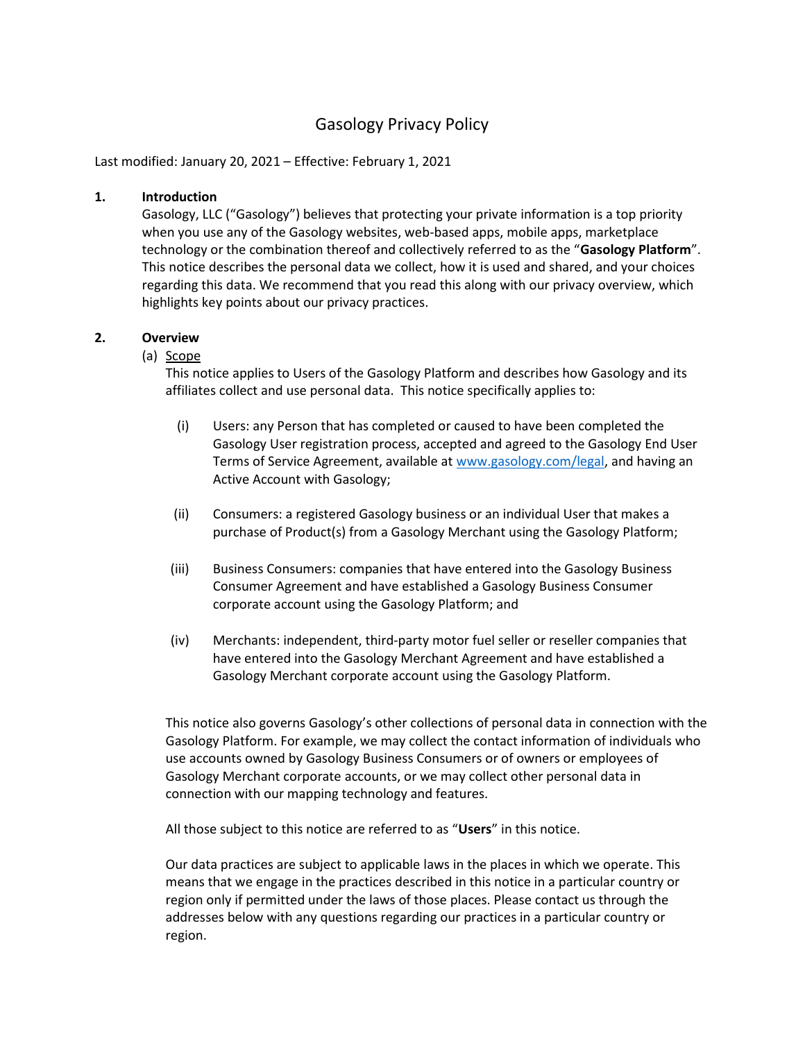# Gasology Privacy Policy

Last modified: January 20, 2021 – Effective: February 1, 2021

#### 1. Introduction

Gasology, LLC ("Gasology") believes that protecting your private information is a top priority when you use any of the Gasology websites, web-based apps, mobile apps, marketplace technology or the combination thereof and collectively referred to as the "Gasology Platform". This notice describes the personal data we collect, how it is used and shared, and your choices regarding this data. We recommend that you read this along with our privacy overview, which highlights key points about our privacy practices.

#### 2. Overview

#### (a) Scope

This notice applies to Users of the Gasology Platform and describes how Gasology and its affiliates collect and use personal data. This notice specifically applies to:

- (i) Users: any Person that has completed or caused to have been completed the Gasology User registration process, accepted and agreed to the Gasology End User Terms of Service Agreement, available at www.gasology.com/legal, and having an Active Account with Gasology;
- (ii) Consumers: a registered Gasology business or an individual User that makes a purchase of Product(s) from a Gasology Merchant using the Gasology Platform;
- (iii) Business Consumers: companies that have entered into the Gasology Business Consumer Agreement and have established a Gasology Business Consumer corporate account using the Gasology Platform; and
- (iv) Merchants: independent, third-party motor fuel seller or reseller companies that have entered into the Gasology Merchant Agreement and have established a Gasology Merchant corporate account using the Gasology Platform.

This notice also governs Gasology's other collections of personal data in connection with the Gasology Platform. For example, we may collect the contact information of individuals who use accounts owned by Gasology Business Consumers or of owners or employees of Gasology Merchant corporate accounts, or we may collect other personal data in connection with our mapping technology and features.

All those subject to this notice are referred to as "Users" in this notice.

Our data practices are subject to applicable laws in the places in which we operate. This means that we engage in the practices described in this notice in a particular country or region only if permitted under the laws of those places. Please contact us through the addresses below with any questions regarding our practices in a particular country or region.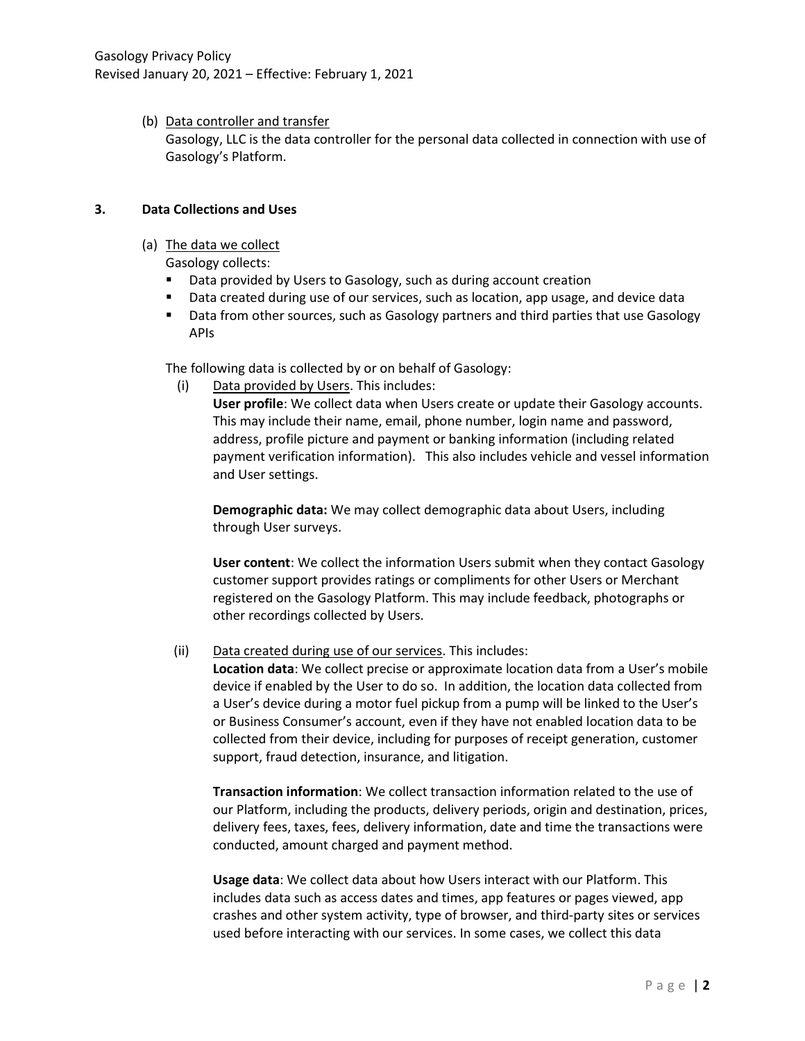(b) Data controller and transfer

Gasology, LLC is the data controller for the personal data collected in connection with use of Gasology's Platform.

### 3. Data Collections and Uses

(a) The data we collect

Gasology collects:

- **Data provided by Users to Gasology, such as during account creation**
- **Data created during use of our services, such as location, app usage, and device data**
- **Data from other sources, such as Gasology partners and third parties that use Gasology** APIs

The following data is collected by or on behalf of Gasology:

(i) Data provided by Users. This includes:

User profile: We collect data when Users create or update their Gasology accounts. This may include their name, email, phone number, login name and password, address, profile picture and payment or banking information (including related payment verification information). This also includes vehicle and vessel information and User settings.

Demographic data: We may collect demographic data about Users, including through User surveys.

User content: We collect the information Users submit when they contact Gasology customer support provides ratings or compliments for other Users or Merchant registered on the Gasology Platform. This may include feedback, photographs or other recordings collected by Users.

### (ii) Data created during use of our services. This includes:

Location data: We collect precise or approximate location data from a User's mobile device if enabled by the User to do so. In addition, the location data collected from a User's device during a motor fuel pickup from a pump will be linked to the User's or Business Consumer's account, even if they have not enabled location data to be collected from their device, including for purposes of receipt generation, customer support, fraud detection, insurance, and litigation.

Transaction information: We collect transaction information related to the use of our Platform, including the products, delivery periods, origin and destination, prices, delivery fees, taxes, fees, delivery information, date and time the transactions were conducted, amount charged and payment method.

Usage data: We collect data about how Users interact with our Platform. This includes data such as access dates and times, app features or pages viewed, app crashes and other system activity, type of browser, and third-party sites or services used before interacting with our services. In some cases, we collect this data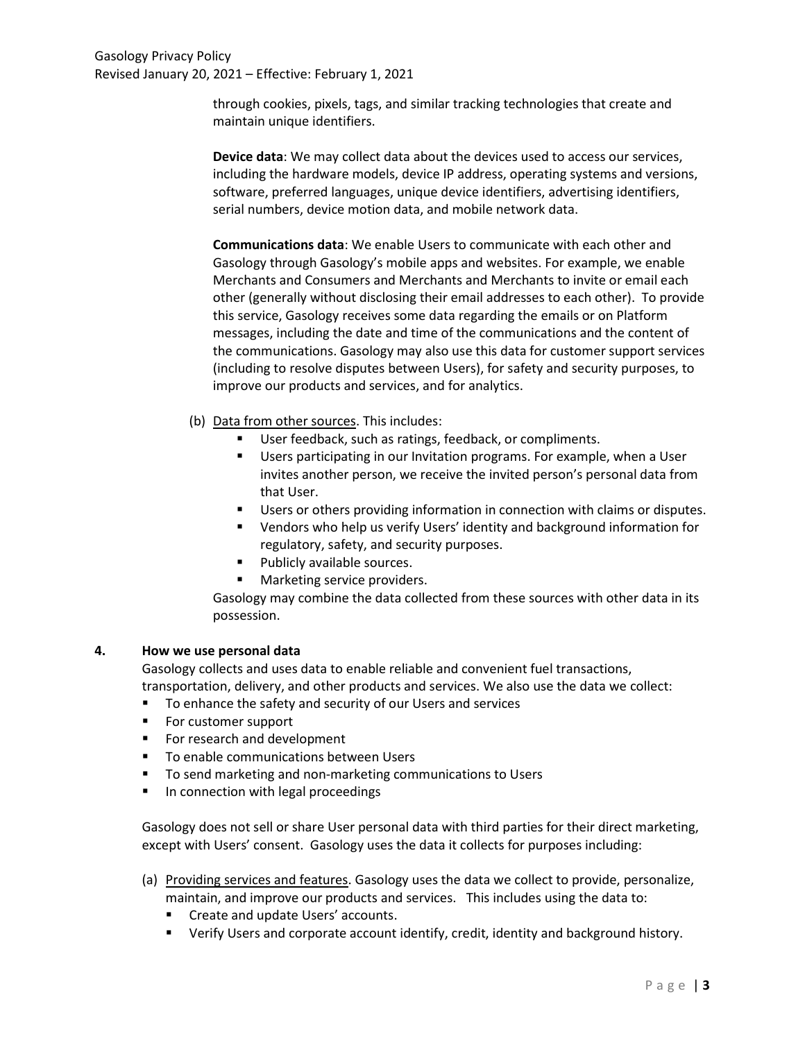### Gasology Privacy Policy Revised January 20, 2021 – Effective: February 1, 2021

through cookies, pixels, tags, and similar tracking technologies that create and maintain unique identifiers.

Device data: We may collect data about the devices used to access our services, including the hardware models, device IP address, operating systems and versions, software, preferred languages, unique device identifiers, advertising identifiers, serial numbers, device motion data, and mobile network data.

Communications data: We enable Users to communicate with each other and Gasology through Gasology's mobile apps and websites. For example, we enable Merchants and Consumers and Merchants and Merchants to invite or email each other (generally without disclosing their email addresses to each other). To provide this service, Gasology receives some data regarding the emails or on Platform messages, including the date and time of the communications and the content of the communications. Gasology may also use this data for customer support services (including to resolve disputes between Users), for safety and security purposes, to improve our products and services, and for analytics.

- (b) Data from other sources. This includes:
	- User feedback, such as ratings, feedback, or compliments.
	- Users participating in our Invitation programs. For example, when a User invites another person, we receive the invited person's personal data from that User.
	- Users or others providing information in connection with claims or disputes.
	- Vendors who help us verify Users' identity and background information for regulatory, safety, and security purposes.
	- **Publicly available sources.**
	- **Marketing service providers.**

Gasology may combine the data collected from these sources with other data in its possession.

#### 4. How we use personal data

Gasology collects and uses data to enable reliable and convenient fuel transactions, transportation, delivery, and other products and services. We also use the data we collect:

- To enhance the safety and security of our Users and services
- **For customer support**
- For research and development
- **To enable communications between Users**
- To send marketing and non-marketing communications to Users
- **IF In connection with legal proceedings**

Gasology does not sell or share User personal data with third parties for their direct marketing, except with Users' consent. Gasology uses the data it collects for purposes including:

- (a) Providing services and features. Gasology uses the data we collect to provide, personalize, maintain, and improve our products and services. This includes using the data to:
	- **EXECTE 2018 12 Inc.** Create and update Users' accounts.
	- Verify Users and corporate account identify, credit, identity and background history.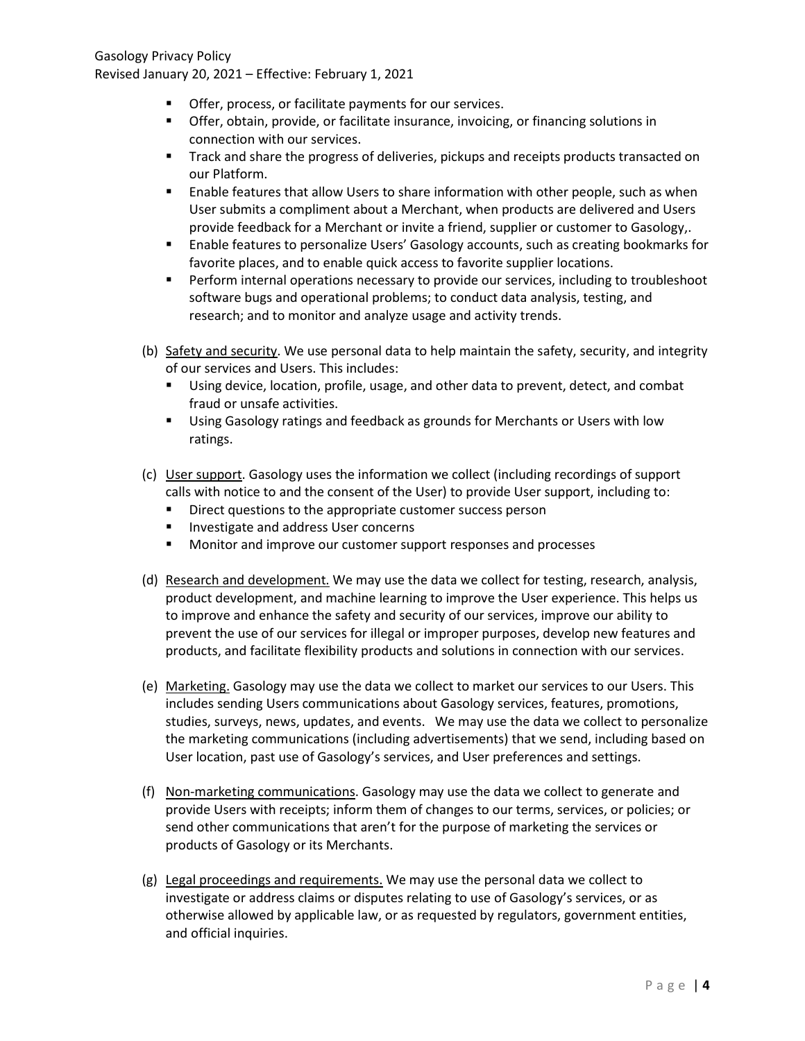Gasology Privacy Policy Revised January 20, 2021 – Effective: February 1, 2021

- Offer, process, or facilitate payments for our services.
- **F** Offer, obtain, provide, or facilitate insurance, invoicing, or financing solutions in connection with our services.
- **The Starff Track and share the progress of deliveries, pickups and receipts products transacted on** our Platform.
- Enable features that allow Users to share information with other people, such as when User submits a compliment about a Merchant, when products are delivered and Users provide feedback for a Merchant or invite a friend, supplier or customer to Gasology,.
- **Enable features to personalize Users' Gasology accounts, such as creating bookmarks for** favorite places, and to enable quick access to favorite supplier locations.
- **Perform internal operations necessary to provide our services, including to troubleshoot** software bugs and operational problems; to conduct data analysis, testing, and research; and to monitor and analyze usage and activity trends.
- (b) Safety and security. We use personal data to help maintain the safety, security, and integrity of our services and Users. This includes:
	- Using device, location, profile, usage, and other data to prevent, detect, and combat fraud or unsafe activities.
	- Using Gasology ratings and feedback as grounds for Merchants or Users with low ratings.
- (c) User support. Gasology uses the information we collect (including recordings of support calls with notice to and the consent of the User) to provide User support, including to:
	- **Direct questions to the appropriate customer success person**
	- Investigate and address User concerns
	- **Monitor and improve our customer support responses and processes**
- (d) Research and development. We may use the data we collect for testing, research, analysis, product development, and machine learning to improve the User experience. This helps us to improve and enhance the safety and security of our services, improve our ability to prevent the use of our services for illegal or improper purposes, develop new features and products, and facilitate flexibility products and solutions in connection with our services.
- (e) Marketing. Gasology may use the data we collect to market our services to our Users. This includes sending Users communications about Gasology services, features, promotions, studies, surveys, news, updates, and events. We may use the data we collect to personalize the marketing communications (including advertisements) that we send, including based on User location, past use of Gasology's services, and User preferences and settings.
- (f) Non-marketing communications. Gasology may use the data we collect to generate and provide Users with receipts; inform them of changes to our terms, services, or policies; or send other communications that aren't for the purpose of marketing the services or products of Gasology or its Merchants.
- (g) Legal proceedings and requirements. We may use the personal data we collect to investigate or address claims or disputes relating to use of Gasology's services, or as otherwise allowed by applicable law, or as requested by regulators, government entities, and official inquiries.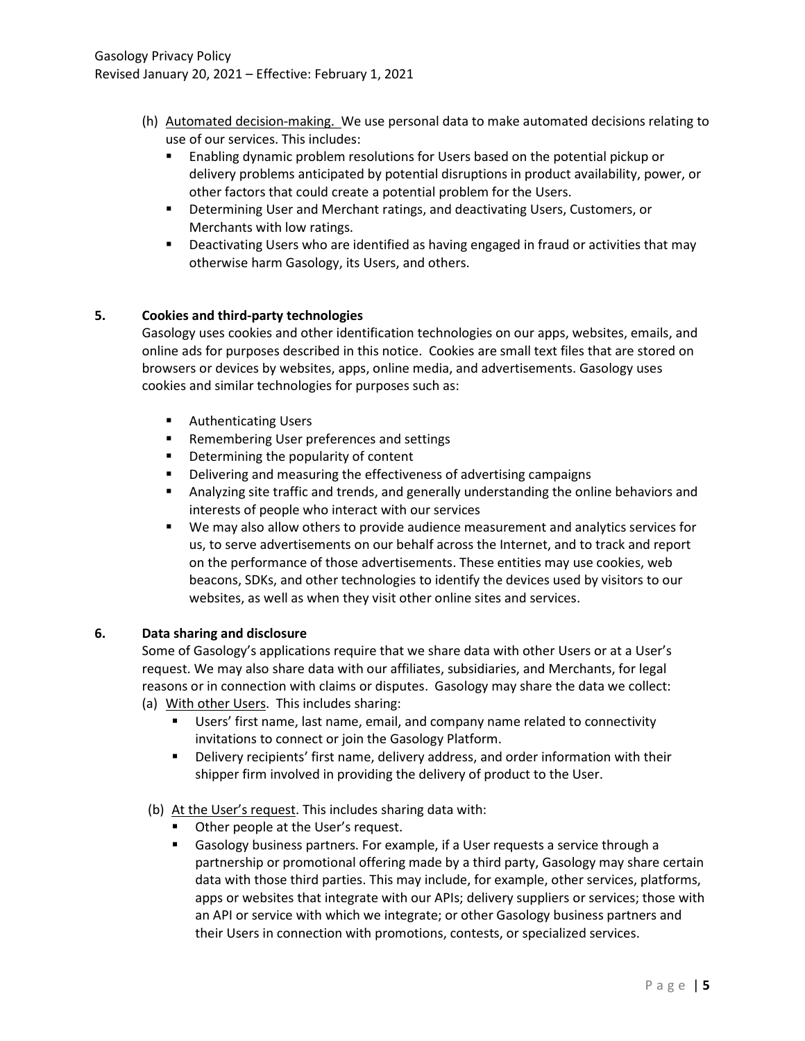- (h) Automated decision-making. We use personal data to make automated decisions relating to use of our services. This includes:
	- Enabling dynamic problem resolutions for Users based on the potential pickup or delivery problems anticipated by potential disruptions in product availability, power, or other factors that could create a potential problem for the Users.
	- **•** Determining User and Merchant ratings, and deactivating Users, Customers, or Merchants with low ratings.
	- **Deactivating Users who are identified as having engaged in fraud or activities that may** otherwise harm Gasology, its Users, and others.

# 5. Cookies and third-party technologies

Gasology uses cookies and other identification technologies on our apps, websites, emails, and online ads for purposes described in this notice. Cookies are small text files that are stored on browsers or devices by websites, apps, online media, and advertisements. Gasology uses cookies and similar technologies for purposes such as:

- **Authenticating Users**
- **Remembering User preferences and settings**
- **•** Determining the popularity of content
- **•** Delivering and measuring the effectiveness of advertising campaigns
- Analyzing site traffic and trends, and generally understanding the online behaviors and interests of people who interact with our services
- We may also allow others to provide audience measurement and analytics services for us, to serve advertisements on our behalf across the Internet, and to track and report on the performance of those advertisements. These entities may use cookies, web beacons, SDKs, and other technologies to identify the devices used by visitors to our websites, as well as when they visit other online sites and services.

### 6. Data sharing and disclosure

Some of Gasology's applications require that we share data with other Users or at a User's request. We may also share data with our affiliates, subsidiaries, and Merchants, for legal reasons or in connection with claims or disputes. Gasology may share the data we collect:

- (a) With other Users. This includes sharing:
	- **Users'** first name, last name, email, and company name related to connectivity invitations to connect or join the Gasology Platform.
	- Delivery recipients' first name, delivery address, and order information with their shipper firm involved in providing the delivery of product to the User.
- (b) At the User's request. This includes sharing data with:
	- **Deta** Other people at the User's request.
	- Gasology business partners. For example, if a User requests a service through a partnership or promotional offering made by a third party, Gasology may share certain data with those third parties. This may include, for example, other services, platforms, apps or websites that integrate with our APIs; delivery suppliers or services; those with an API or service with which we integrate; or other Gasology business partners and their Users in connection with promotions, contests, or specialized services.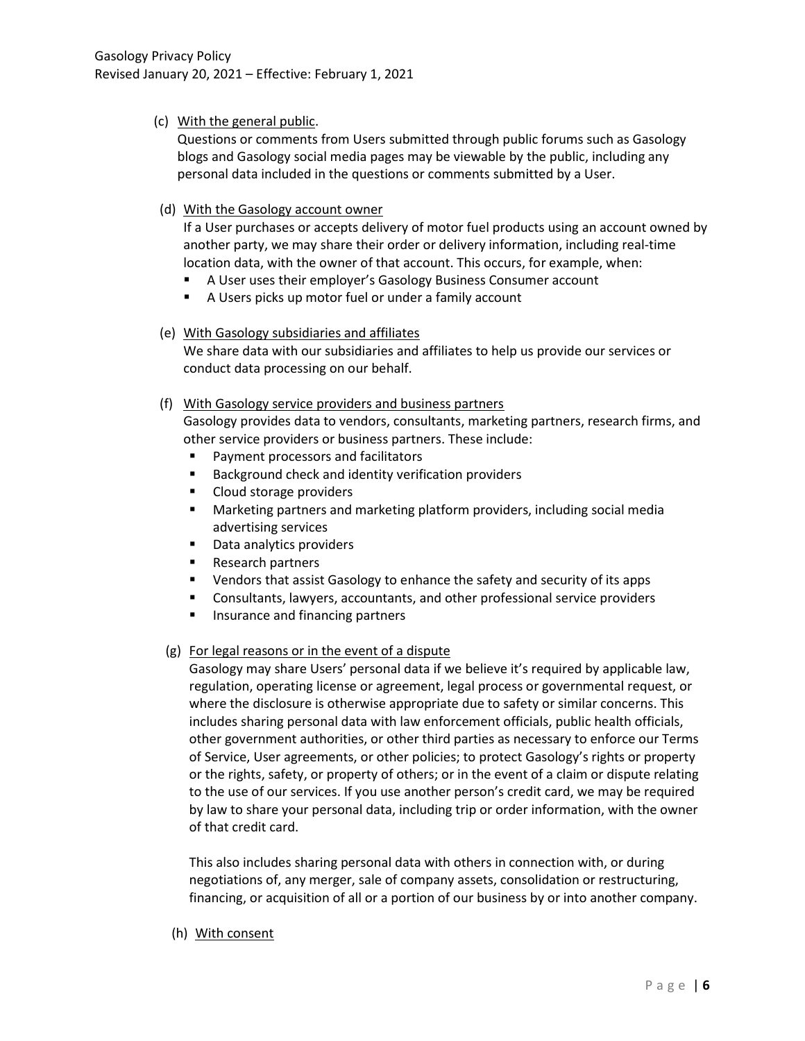## (c) With the general public.

Questions or comments from Users submitted through public forums such as Gasology blogs and Gasology social media pages may be viewable by the public, including any personal data included in the questions or comments submitted by a User.

### (d) With the Gasology account owner

If a User purchases or accepts delivery of motor fuel products using an account owned by another party, we may share their order or delivery information, including real-time location data, with the owner of that account. This occurs, for example, when:

- A User uses their employer's Gasology Business Consumer account
- A Users picks up motor fuel or under a family account

### (e) With Gasology subsidiaries and affiliates

We share data with our subsidiaries and affiliates to help us provide our services or conduct data processing on our behalf.

### (f) With Gasology service providers and business partners

Gasology provides data to vendors, consultants, marketing partners, research firms, and other service providers or business partners. These include:

- Payment processors and facilitators
- Background check and identity verification providers
- Cloud storage providers
- Marketing partners and marketing platform providers, including social media advertising services
- Data analytics providers
- Research partners
- **•** Vendors that assist Gasology to enhance the safety and security of its apps
- Consultants, lawyers, accountants, and other professional service providers
- **Insurance and financing partners**

# (g) For legal reasons or in the event of a dispute

Gasology may share Users' personal data if we believe it's required by applicable law, regulation, operating license or agreement, legal process or governmental request, or where the disclosure is otherwise appropriate due to safety or similar concerns. This includes sharing personal data with law enforcement officials, public health officials, other government authorities, or other third parties as necessary to enforce our Terms of Service, User agreements, or other policies; to protect Gasology's rights or property or the rights, safety, or property of others; or in the event of a claim or dispute relating to the use of our services. If you use another person's credit card, we may be required by law to share your personal data, including trip or order information, with the owner of that credit card.

This also includes sharing personal data with others in connection with, or during negotiations of, any merger, sale of company assets, consolidation or restructuring, financing, or acquisition of all or a portion of our business by or into another company.

(h) With consent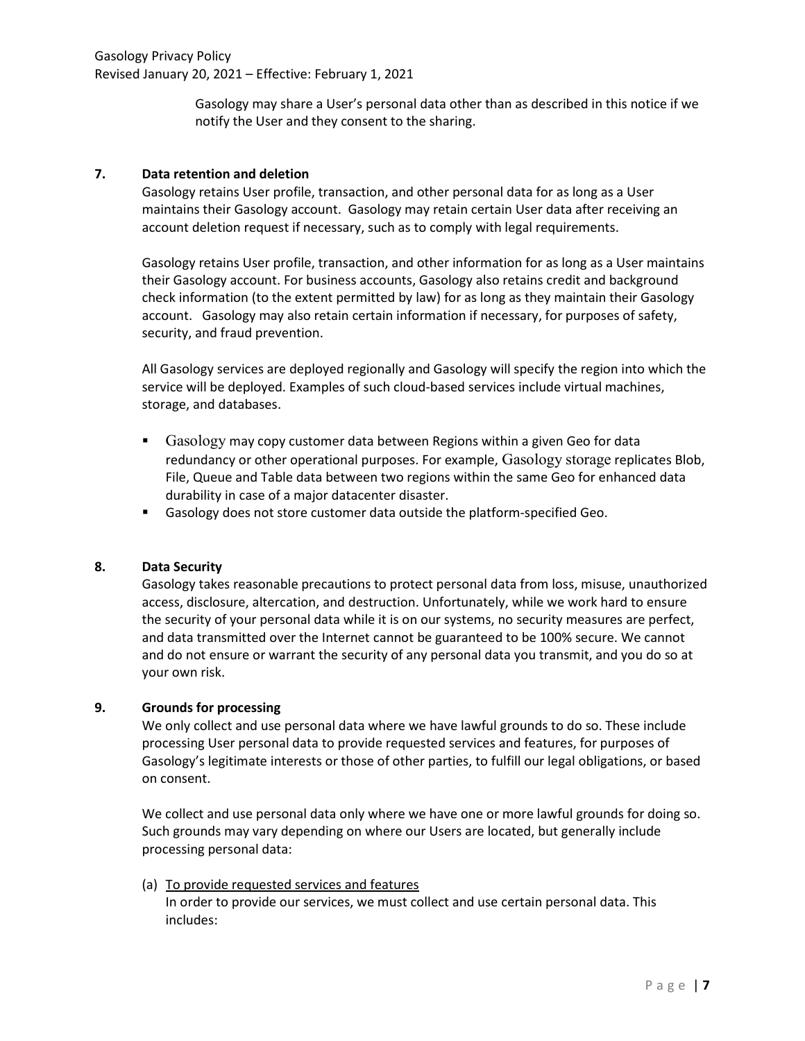Gasology may share a User's personal data other than as described in this notice if we notify the User and they consent to the sharing.

### 7. Data retention and deletion

Gasology retains User profile, transaction, and other personal data for as long as a User maintains their Gasology account. Gasology may retain certain User data after receiving an account deletion request if necessary, such as to comply with legal requirements.

Gasology retains User profile, transaction, and other information for as long as a User maintains their Gasology account. For business accounts, Gasology also retains credit and background check information (to the extent permitted by law) for as long as they maintain their Gasology account. Gasology may also retain certain information if necessary, for purposes of safety, security, and fraud prevention.

All Gasology services are deployed regionally and Gasology will specify the region into which the service will be deployed. Examples of such cloud-based services include virtual machines, storage, and databases.

- **Gasology may copy customer data between Regions within a given Geo for data** redundancy or other operational purposes. For example, Gasology storage replicates Blob, File, Queue and Table data between two regions within the same Geo for enhanced data durability in case of a major datacenter disaster.
- Gasology does not store customer data outside the platform-specified Geo.

### 8. Data Security

Gasology takes reasonable precautions to protect personal data from loss, misuse, unauthorized access, disclosure, altercation, and destruction. Unfortunately, while we work hard to ensure the security of your personal data while it is on our systems, no security measures are perfect, and data transmitted over the Internet cannot be guaranteed to be 100% secure. We cannot and do not ensure or warrant the security of any personal data you transmit, and you do so at your own risk.

# 9. Grounds for processing

We only collect and use personal data where we have lawful grounds to do so. These include processing User personal data to provide requested services and features, for purposes of Gasology's legitimate interests or those of other parties, to fulfill our legal obligations, or based on consent.

We collect and use personal data only where we have one or more lawful grounds for doing so. Such grounds may vary depending on where our Users are located, but generally include processing personal data:

(a) To provide requested services and features In order to provide our services, we must collect and use certain personal data. This includes: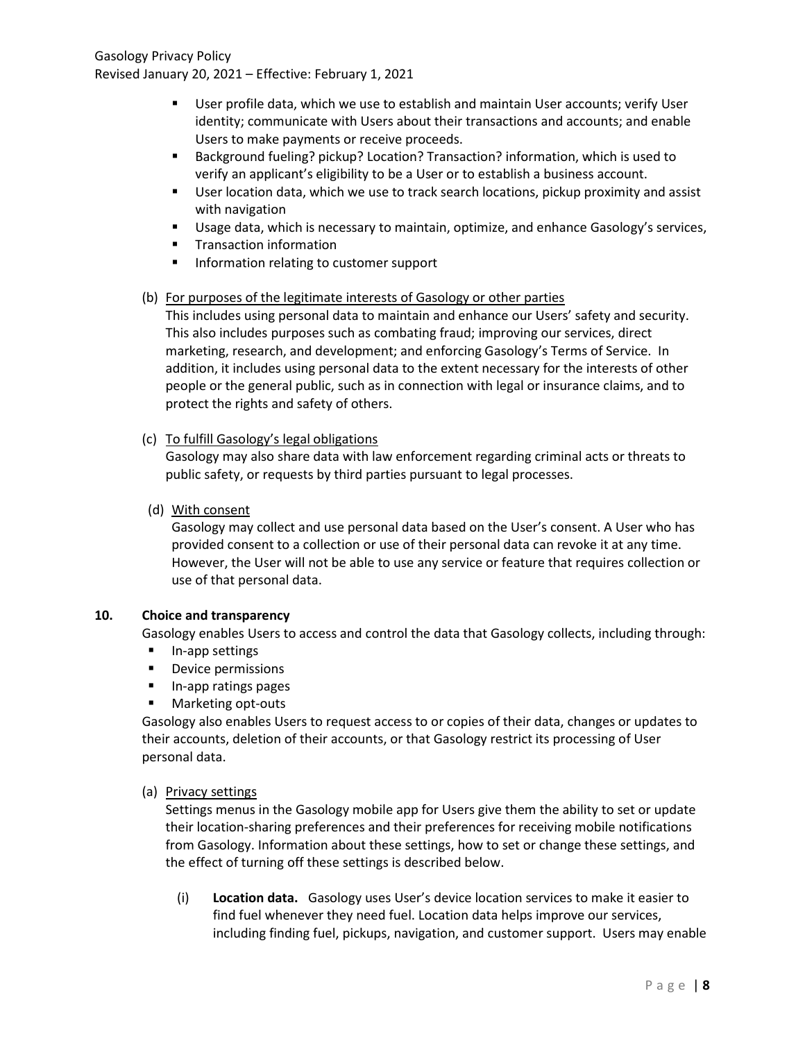Gasology Privacy Policy Revised January 20, 2021 – Effective: February 1, 2021

- User profile data, which we use to establish and maintain User accounts; verify User identity; communicate with Users about their transactions and accounts; and enable Users to make payments or receive proceeds.
- Background fueling? pickup? Location? Transaction? information, which is used to verify an applicant's eligibility to be a User or to establish a business account.
- User location data, which we use to track search locations, pickup proximity and assist with navigation
- **Usage data, which is necessary to maintain, optimize, and enhance Gasology's services,**
- **Transaction information**
- **Information relating to customer support**

### (b) For purposes of the legitimate interests of Gasology or other parties

This includes using personal data to maintain and enhance our Users' safety and security. This also includes purposes such as combating fraud; improving our services, direct marketing, research, and development; and enforcing Gasology's Terms of Service. In addition, it includes using personal data to the extent necessary for the interests of other people or the general public, such as in connection with legal or insurance claims, and to protect the rights and safety of others.

### (c) To fulfill Gasology's legal obligations

Gasology may also share data with law enforcement regarding criminal acts or threats to public safety, or requests by third parties pursuant to legal processes.

(d) With consent

Gasology may collect and use personal data based on the User's consent. A User who has provided consent to a collection or use of their personal data can revoke it at any time. However, the User will not be able to use any service or feature that requires collection or use of that personal data.

## 10. Choice and transparency

Gasology enables Users to access and control the data that Gasology collects, including through:

- In-app settings
- **Device permissions**
- **In-app ratings pages**
- **Marketing opt-outs**

Gasology also enables Users to request access to or copies of their data, changes or updates to their accounts, deletion of their accounts, or that Gasology restrict its processing of User personal data.

### (a) Privacy settings

Settings menus in the Gasology mobile app for Users give them the ability to set or update their location-sharing preferences and their preferences for receiving mobile notifications from Gasology. Information about these settings, how to set or change these settings, and the effect of turning off these settings is described below.

(i) Location data. Gasology uses User's device location services to make it easier to find fuel whenever they need fuel. Location data helps improve our services, including finding fuel, pickups, navigation, and customer support. Users may enable